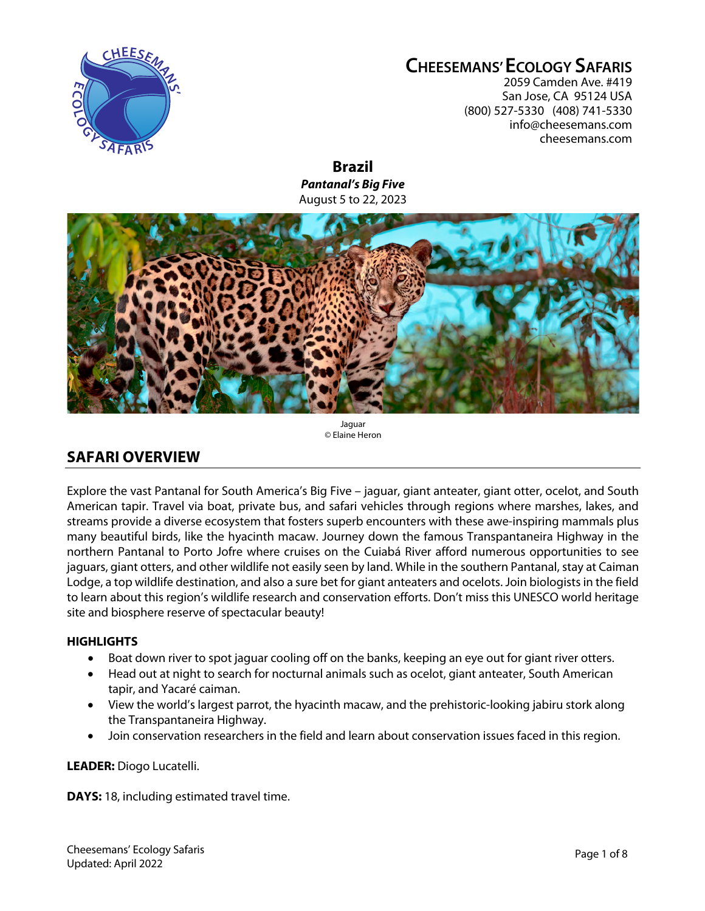

# **CHEESEMANS' ECOLOGY SAFARIS**

2059 Camden Ave. #419 San Jose, CA 95124 USA (800) 527-5330 (408) 741-5330 info@cheesemans.com cheesemans.com

**Brazil** *Pantanal's Big Five* August 5 to 22, 2023



#### Jaguar © Elaine Heron

# **SAFARI OVERVIEW**

Explore the vast Pantanal for South America's Big Five – jaguar, giant anteater, giant otter, ocelot, and South American tapir. Travel via boat, private bus, and safari vehicles through regions where marshes, lakes, and streams provide a diverse ecosystem that fosters superb encounters with these awe-inspiring mammals plus many beautiful birds, like the hyacinth macaw. Journey down the famous Transpantaneira Highway in the northern Pantanal to Porto Jofre where cruises on the Cuiabá River afford numerous opportunities to see jaguars, giant otters, and other wildlife not easily seen by land. While in the southern Pantanal, stay at Caiman Lodge, a top wildlife destination, and also a sure bet for giant anteaters and ocelots. Join biologists in the field to learn about this region's wildlife research and conservation efforts. Don't miss this UNESCO world heritage site and biosphere reserve of spectacular beauty!

# **HIGHLIGHTS**

- Boat down river to spot jaguar cooling off on the banks, keeping an eye out for giant river otters.
- Head out at night to search for nocturnal animals such as ocelot, giant anteater, South American tapir, and Yacaré caiman.
- View the world's largest parrot, the hyacinth macaw, and the prehistoric-looking jabiru stork along the Transpantaneira Highway.
- Join conservation researchers in the field and learn about conservation issues faced in this region.

**LEADER:** Diogo Lucatelli.

**DAYS:** 18, including estimated travel time.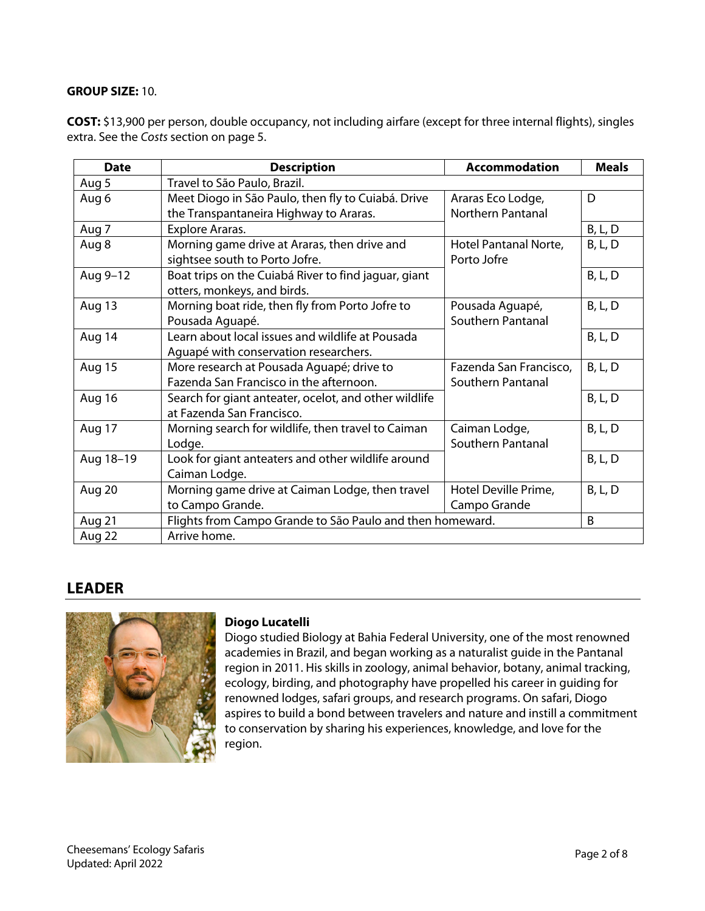# **GROUP SIZE:** 10.

**COST:** \$13,900 per person, double occupancy, not including airfare (except for three internal flights), singles extra. See the *Costs* section on page 5.

| <b>Date</b>   | <b>Description</b>                                        | <b>Accommodation</b>     | <b>Meals</b>   |
|---------------|-----------------------------------------------------------|--------------------------|----------------|
| Aug 5         | Travel to São Paulo, Brazil.                              |                          |                |
| Aug 6         | Meet Diogo in São Paulo, then fly to Cuiabá. Drive        | Araras Eco Lodge,        | D              |
|               | the Transpantaneira Highway to Araras.                    | <b>Northern Pantanal</b> |                |
| Aug 7         | Explore Araras.                                           |                          | <b>B, L, D</b> |
| Aug 8         | Morning game drive at Araras, then drive and              | Hotel Pantanal Norte,    | <b>B, L, D</b> |
|               | sightsee south to Porto Jofre.                            | Porto Jofre              |                |
| Aug 9-12      | Boat trips on the Cuiabá River to find jaguar, giant      |                          | <b>B, L, D</b> |
|               | otters, monkeys, and birds.                               |                          |                |
| Aug 13        | Morning boat ride, then fly from Porto Jofre to           | Pousada Aguapé,          | <b>B, L, D</b> |
|               | Pousada Aguapé.                                           | Southern Pantanal        |                |
| Aug 14        | Learn about local issues and wildlife at Pousada          |                          | <b>B, L, D</b> |
|               | Aguapé with conservation researchers.                     |                          |                |
| <b>Aug 15</b> | More research at Pousada Aguapé; drive to                 | Fazenda San Francisco,   | <b>B, L, D</b> |
|               | Fazenda San Francisco in the afternoon.                   | Southern Pantanal        |                |
| Aug 16        | Search for giant anteater, ocelot, and other wildlife     |                          | <b>B, L, D</b> |
|               | at Fazenda San Francisco.                                 |                          |                |
| Aug 17        | Morning search for wildlife, then travel to Caiman        | Caiman Lodge,            | <b>B, L, D</b> |
|               | Lodge.                                                    | Southern Pantanal        |                |
| Aug 18-19     | Look for giant anteaters and other wildlife around        |                          | <b>B, L, D</b> |
|               | Caiman Lodge.                                             |                          |                |
| Aug 20        | Morning game drive at Caiman Lodge, then travel           | Hotel Deville Prime,     | B, L, D        |
|               | to Campo Grande.                                          | Campo Grande             |                |
| Aug 21        | Flights from Campo Grande to São Paulo and then homeward. |                          | B              |
| Aug 22        | Arrive home.                                              |                          |                |

# **LEADER**



# **Diogo Lucatelli**

Diogo studied Biology at Bahia Federal University, one of the most renowned academies in Brazil, and began working as a naturalist guide in the Pantanal region in 2011. His skills in zoology, animal behavior, botany, animal tracking, ecology, birding, and photography have propelled his career in guiding for renowned lodges, safari groups, and research programs. On safari, Diogo aspires to build a bond between travelers and nature and instill a commitment to conservation by sharing his experiences, knowledge, and love for the region.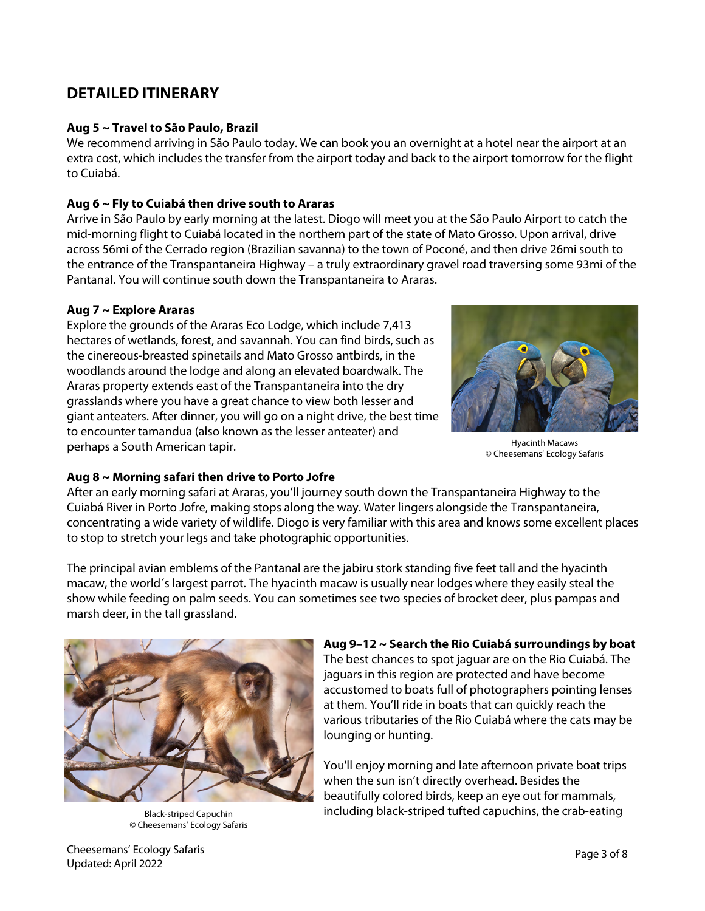# **DETAILED ITINERARY**

# **Aug 5 ~ Travel to São Paulo, Brazil**

We recommend arriving in São Paulo today. We can book you an overnight at a hotel near the airport at an extra cost, which includes the transfer from the airport today and back to the airport tomorrow for the flight to Cuiabá.

# **Aug 6 ~ Fly to Cuiabá then drive south to Araras**

Arrive in São Paulo by early morning at the latest. Diogo will meet you at the São Paulo Airport to catch the mid-morning flight to Cuiabá located in the northern part of the state of Mato Grosso. Upon arrival, drive across 56mi of the Cerrado region (Brazilian savanna) to the town of Poconé, and then drive 26mi south to the entrance of the Transpantaneira Highway – a truly extraordinary gravel road traversing some 93mi of the Pantanal. You will continue south down the Transpantaneira to Araras.

# **Aug 7 ~ Explore Araras**

Explore the grounds of the Araras Eco Lodge, which include 7,413 hectares of wetlands, forest, and savannah. You can find birds, such as the cinereous-breasted spinetails and Mato Grosso antbirds, in the woodlands around the lodge and along an elevated boardwalk. The Araras property extends east of the Transpantaneira into the dry grasslands where you have a great chance to view both lesser and giant anteaters. After dinner, you will go on a night drive, the best time to encounter tamandua (also known as the lesser anteater) and perhaps a South American tapir.



Hyacinth Macaws © Cheesemans' Ecology Safaris

# **Aug 8 ~ Morning safari then drive to Porto Jofre**

After an early morning safari at Araras, you'll journey south down the Transpantaneira Highway to the Cuiabá River in Porto Jofre, making stops along the way. Water lingers alongside the Transpantaneira, concentrating a wide variety of wildlife. Diogo is very familiar with this area and knows some excellent places to stop to stretch your legs and take photographic opportunities.

The principal avian emblems of the Pantanal are the jabiru stork standing five feet tall and the hyacinth macaw, the world´s largest parrot. The hyacinth macaw is usually near lodges where they easily steal the show while feeding on palm seeds. You can sometimes see two species of brocket deer, plus pampas and marsh deer, in the tall grassland.



© Cheesemans' Ecology Safaris

#### **Aug 9–12 ~ Search the Rio Cuiabá surroundings by boat**

The best chances to spot jaguar are on the Rio Cuiabá. The jaguars in this region are protected and have become accustomed to boats full of photographers pointing lenses at them. You'll ride in boats that can quickly reach the various tributaries of the Rio Cuiabá where the cats may be lounging or hunting.

You'll enjoy morning and late afternoon private boat trips when the sun isn't directly overhead. Besides the beautifully colored birds, keep an eye out for mammals, Black-striped Capuchin **including black-striped tufted capuchins, the crab-eating**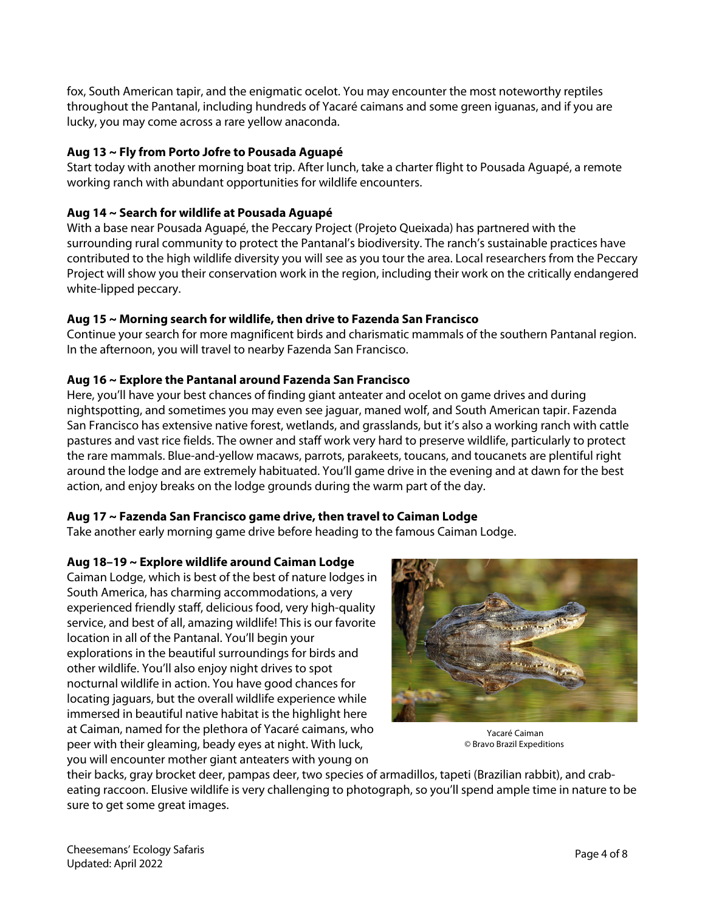fox, South American tapir, and the enigmatic ocelot. You may encounter the most noteworthy reptiles throughout the Pantanal, including hundreds of Yacaré caimans and some green iguanas, and if you are lucky, you may come across a rare yellow anaconda.

# **Aug 13 ~ Fly from Porto Jofre to Pousada Aguapé**

Start today with another morning boat trip. After lunch, take a charter flight to Pousada Aguapé, a remote working ranch with abundant opportunities for wildlife encounters.

# **Aug 14 ~ Search for wildlife at Pousada Aguapé**

With a base near Pousada Aguapé, the Peccary Project (Projeto Queixada) has partnered with the surrounding rural community to protect the Pantanal's biodiversity. The ranch's sustainable practices have contributed to the high wildlife diversity you will see as you tour the area. Local researchers from the Peccary Project will show you their conservation work in the region, including their work on the critically endangered white-lipped peccary.

# **Aug 15 ~ Morning search for wildlife, then drive to Fazenda San Francisco**

Continue your search for more magnificent birds and charismatic mammals of the southern Pantanal region. In the afternoon, you will travel to nearby Fazenda San Francisco.

# **Aug 16 ~ Explore the Pantanal around Fazenda San Francisco**

Here, you'll have your best chances of finding giant anteater and ocelot on game drives and during nightspotting, and sometimes you may even see jaguar, maned wolf, and South American tapir. Fazenda San Francisco has extensive native forest, wetlands, and grasslands, but it's also a working ranch with cattle pastures and vast rice fields. The owner and staff work very hard to preserve wildlife, particularly to protect the rare mammals. Blue-and-yellow macaws, parrots, parakeets, toucans, and toucanets are plentiful right around the lodge and are extremely habituated. You'll game drive in the evening and at dawn for the best action, and enjoy breaks on the lodge grounds during the warm part of the day.

#### **Aug 17 ~ Fazenda San Francisco game drive, then travel to Caiman Lodge**

Take another early morning game drive before heading to the famous Caiman Lodge.

#### **Aug 18–19 ~ Explore wildlife around Caiman Lodge**

Caiman Lodge, which is best of the best of nature lodges in South America, has charming accommodations, a very experienced friendly staff, delicious food, very high-quality service, and best of all, amazing wildlife! This is our favorite location in all of the Pantanal. You'll begin your explorations in the beautiful surroundings for birds and other wildlife. You'll also enjoy night drives to spot nocturnal wildlife in action. You have good chances for locating jaguars, but the overall wildlife experience while immersed in beautiful native habitat is the highlight here at Caiman, named for the plethora of Yacaré caimans, who peer with their gleaming, beady eyes at night. With luck, you will encounter mother giant anteaters with young on



Yacaré Caiman © Bravo Brazil Expeditions

their backs, gray brocket deer, pampas deer, two species of armadillos, tapeti (Brazilian rabbit), and crabeating raccoon. Elusive wildlife is very challenging to photograph, so you'll spend ample time in nature to be sure to get some great images.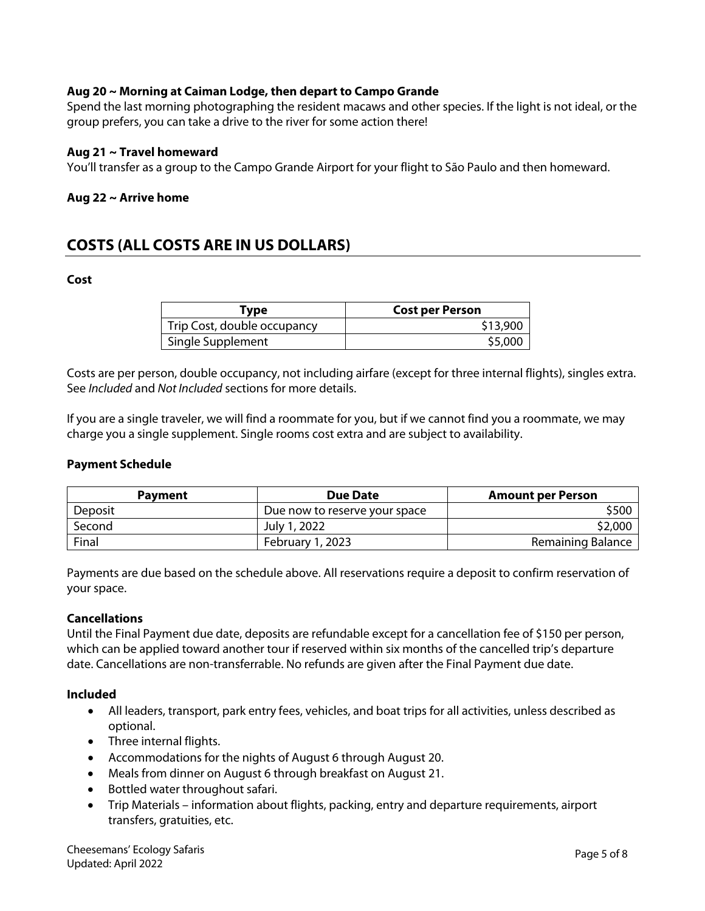# **Aug 20 ~ Morning at Caiman Lodge, then depart to Campo Grande**

Spend the last morning photographing the resident macaws and other species. If the light is not ideal, or the group prefers, you can take a drive to the river for some action there!

#### **Aug 21 ~ Travel homeward**

You'll transfer as a group to the Campo Grande Airport for your flight to São Paulo and then homeward.

#### **Aug 22 ~ Arrive home**

# **COSTS (ALL COSTS ARE IN US DOLLARS)**

#### **Cost**

| Type                        | <b>Cost per Person</b> |
|-----------------------------|------------------------|
| Trip Cost, double occupancy | \$13,900               |
| Single Supplement           | \$5,000                |

Costs are per person, double occupancy, not including airfare (except for three internal flights), singles extra. See *Included* and *Not Included* sections for more details.

If you are a single traveler, we will find a roommate for you, but if we cannot find you a roommate, we may charge you a single supplement. Single rooms cost extra and are subject to availability.

#### **Payment Schedule**

| <b>Payment</b> | <b>Due Date</b>               | <b>Amount per Person</b> |
|----------------|-------------------------------|--------------------------|
| Deposit        | Due now to reserve your space | \$500                    |
| Second         | July 1, 2022                  | \$2,000                  |
| Final          | February 1, 2023              | Remaining Balance        |

Payments are due based on the schedule above. All reservations require a deposit to confirm reservation of your space.

#### **Cancellations**

Until the Final Payment due date, deposits are refundable except for a cancellation fee of \$150 per person, which can be applied toward another tour if reserved within six months of the cancelled trip's departure date. Cancellations are non-transferrable. No refunds are given after the Final Payment due date.

#### **Included**

- All leaders, transport, park entry fees, vehicles, and boat trips for all activities, unless described as optional.
- Three internal flights.
- Accommodations for the nights of August 6 through August 20.
- Meals from dinner on August 6 through breakfast on August 21.
- Bottled water throughout safari.
- Trip Materials information about flights, packing, entry and departure requirements, airport transfers, gratuities, etc.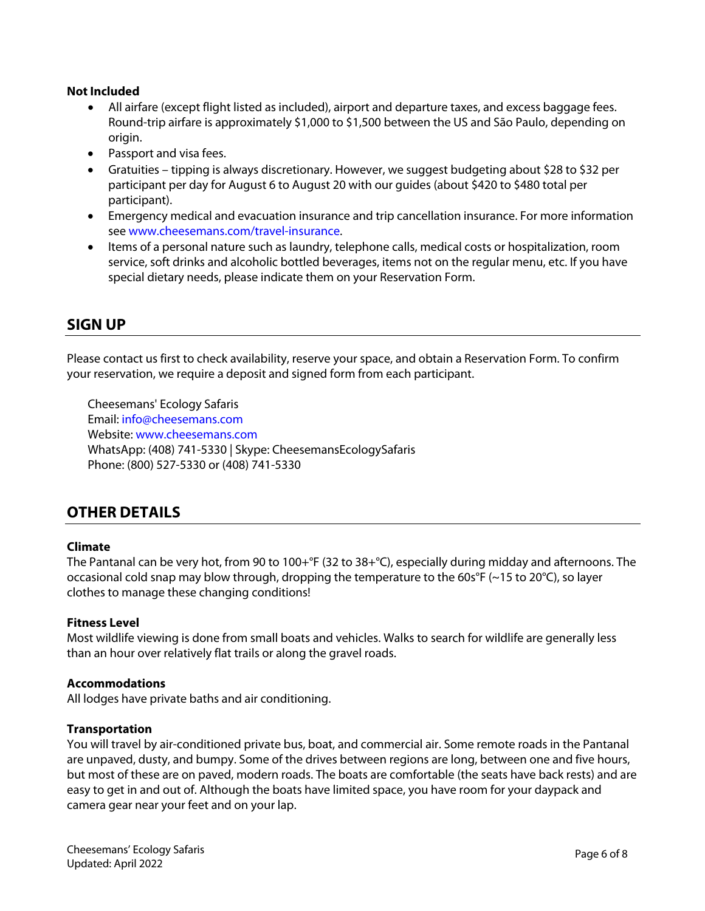### **Not Included**

- All airfare (except flight listed as included), airport and departure taxes, and excess baggage fees. Round-trip airfare is approximately \$1,000 to \$1,500 between the US and São Paulo, depending on origin.
- Passport and visa fees.
- Gratuities tipping is always discretionary. However, we suggest budgeting about \$28 to \$32 per participant per day for August 6 to August 20 with our guides (about \$420 to \$480 total per participant).
- Emergency medical and evacuation insurance and trip cancellation insurance. For more information see www.cheesemans.com/travel-insurance.
- Items of a personal nature such as laundry, telephone calls, medical costs or hospitalization, room service, soft drinks and alcoholic bottled beverages, items not on the regular menu, etc. If you have special dietary needs, please indicate them on your Reservation Form.

# **SIGN UP**

Please contact us first to check availability, reserve your space, and obtain a Reservation Form. To confirm your reservation, we require a deposit and signed form from each participant.

Cheesemans' Ecology Safaris Email: info@cheesemans.com Website: www.cheesemans.com WhatsApp: (408) 741-5330 | Skype: CheesemansEcologySafaris Phone: (800) 527-5330 or (408) 741-5330

# **OTHER DETAILS**

#### **Climate**

The Pantanal can be very hot, from 90 to 100+°F (32 to 38+°C), especially during midday and afternoons. The occasional cold snap may blow through, dropping the temperature to the 60s°F (~15 to 20°C), so layer clothes to manage these changing conditions!

#### **Fitness Level**

Most wildlife viewing is done from small boats and vehicles. Walks to search for wildlife are generally less than an hour over relatively flat trails or along the gravel roads.

#### **Accommodations**

All lodges have private baths and air conditioning.

#### **Transportation**

You will travel by air-conditioned private bus, boat, and commercial air. Some remote roads in the Pantanal are unpaved, dusty, and bumpy. Some of the drives between regions are long, between one and five hours, but most of these are on paved, modern roads. The boats are comfortable (the seats have back rests) and are easy to get in and out of. Although the boats have limited space, you have room for your daypack and camera gear near your feet and on your lap.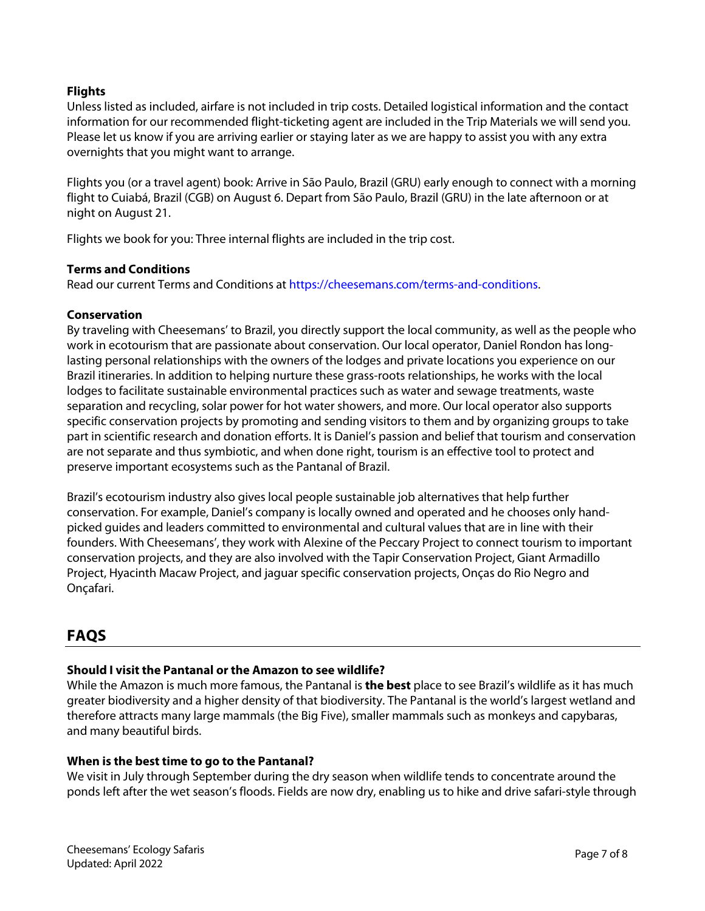# **Flights**

Unless listed as included, airfare is not included in trip costs. Detailed logistical information and the contact information for our recommended flight-ticketing agent are included in the Trip Materials we will send you. Please let us know if you are arriving earlier or staying later as we are happy to assist you with any extra overnights that you might want to arrange.

Flights you (or a travel agent) book: Arrive in São Paulo, Brazil (GRU) early enough to connect with a morning flight to Cuiabá, Brazil (CGB) on August 6. Depart from São Paulo, Brazil (GRU) in the late afternoon or at night on August 21.

Flights we book for you: Three internal flights are included in the trip cost.

# **Terms and Conditions**

Read our current Terms and Conditions at https://cheesemans.com/terms-and-conditions.

# **Conservation**

By traveling with Cheesemans' to Brazil, you directly support the local community, as well as the people who work in ecotourism that are passionate about conservation. Our local operator, Daniel Rondon has longlasting personal relationships with the owners of the lodges and private locations you experience on our Brazil itineraries. In addition to helping nurture these grass-roots relationships, he works with the local lodges to facilitate sustainable environmental practices such as water and sewage treatments, waste separation and recycling, solar power for hot water showers, and more. Our local operator also supports specific conservation projects by promoting and sending visitors to them and by organizing groups to take part in scientific research and donation efforts. It is Daniel's passion and belief that tourism and conservation are not separate and thus symbiotic, and when done right, tourism is an effective tool to protect and preserve important ecosystems such as the Pantanal of Brazil.

Brazil's ecotourism industry also gives local people sustainable job alternatives that help further conservation. For example, Daniel's company is locally owned and operated and he chooses only handpicked guides and leaders committed to environmental and cultural values that are in line with their founders. With Cheesemans', they work with Alexine of the Peccary Project to connect tourism to important conservation projects, and they are also involved with the Tapir Conservation Project, Giant Armadillo Project, Hyacinth Macaw Project, and jaguar specific conservation projects, Onças do Rio Negro and Onçafari.

# **FAQS**

# **Should I visit the Pantanal or the Amazon to see wildlife?**

While the Amazon is much more famous, the Pantanal is **the best** place to see Brazil's wildlife as it has much greater biodiversity and a higher density of that biodiversity. The Pantanal is the world's largest wetland and therefore attracts many large mammals (the Big Five), smaller mammals such as monkeys and capybaras, and many beautiful birds.

#### **When is the best time to go to the Pantanal?**

We visit in July through September during the dry season when wildlife tends to concentrate around the ponds left after the wet season's floods. Fields are now dry, enabling us to hike and drive safari-style through